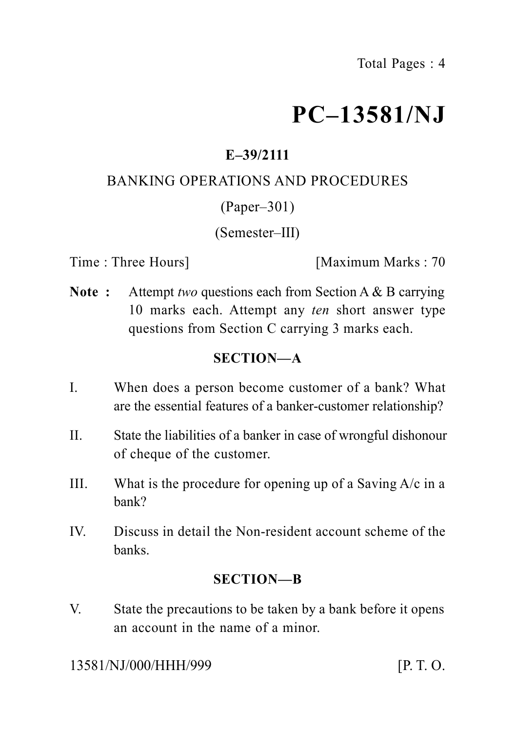# **PC–13581/NJ**

# **E–39/2111**

## BANKING OPERATIONS AND PROCEDURES

### (Paper–301)

### (Semester–III)

Time : Three Hours **I** [Maximum Marks : 70]

**Note :** Attempt *two* questions each from Section A & B carrying 10 marks each. Attempt any *ten* short answer type questions from Section C carrying 3 marks each.

# **SECTION—A**

- I. When does a person become customer of a bank? What are the essential features of a banker-customer relationship?
- II. State the liabilities of a banker in case of wrongful dishonour of cheque of the customer.
- III. What is the procedure for opening up of a Saving  $A/c$  in a bank?
- IV. Discuss in detail the Non-resident account scheme of the banks.

### **SECTION—B**

V. State the precautions to be taken by a bank before it opens an account in the name of a minor.

13581/NJ/000/HHH/999 [P. T. O.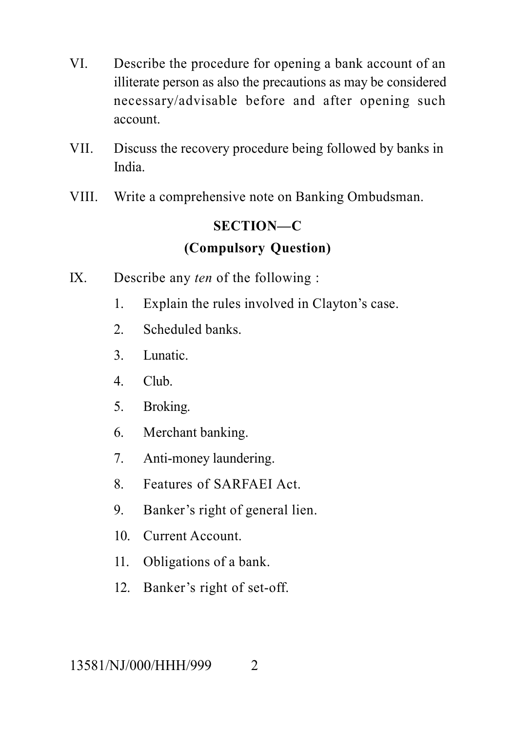- VI. Describe the procedure for opening a bank account of an illiterate person as also the precautions as may be considered necessary/advisable before and after opening such account.
- VII. Discuss the recovery procedure being followed by banks in India.
- VIII. Write a comprehensive note on Banking Ombudsman.

# **SECTION—C**

# **(Compulsory Question)**

- IX. Describe any *ten* of the following :
	- 1. Explain the rules involved in Clayton's case.
	- 2. Scheduled banks.
	- 3. Lunatic.
	- 4. Club.
	- 5. Broking.
	- 6. Merchant banking.
	- 7. Anti-money laundering.
	- 8. Features of SARFAEI Act.
	- 9. Banker's right of general lien.
	- 10. Current Account.
	- 11. Obligations of a bank.
	- 12. Banker's right of set-off.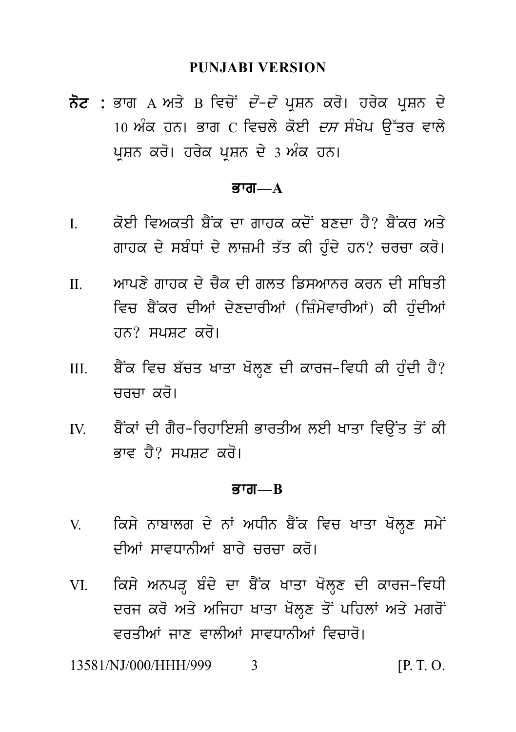#### **PUNJABI VERSION**

ਨੋਟ : ਭਾਗ A ਅਤੇ B ਵਿਚੋਂ *ਦੋ–ਦੋ* ਪਸ਼ਨ ਕਰੋ। ਹਰੇਕ ਪਸ਼ਨ ਦੇ 10 ਅੰਕ ਹਨ। ਭਾਗ  $C$  ਵਿਚਲੇ ਕੋਈ *ਦਸ* ਸੰਖੇਪ ਉੱਤਰ ਵਾਲੇ ਪ੍ਰਸ਼ਨ ਕਰੋ। ਹਰੇਕ ਪ੍ਰਸ਼ਨ ਦੇ 3 ਅੰਕ ਹਨ।

#### ਕਾਗ $-\mathbf{A}$

- $\mathbf{I}$ ਕੋਈ ਵਿਅਕਤੀ ਬੈਂਕ ਦਾ ਗਾਹਕ ਕਦੋਂ ਬਣਦਾ ਹੈ? ਬੈਂਕਰ ਅਤੇ ਗਾਹਕ ਦੇ ਸਬੰਧਾਂ ਦੇ ਲਾਜ਼ਮੀ ਤੱਤ ਕੀ ਹੰਦੇ ਹਨ? ਚਰਚਾ ਕਰੋ।
- ਆਪਣੇ ਗਾਹਕ ਦੇ ਚੈਕ ਦੀ ਗੁਲਤ ਡਿਸਆਨੁਰ ਕਰਨ ਦੀ ਸੂਥਿਤੀ  $\Pi$ ਵਿਚ ਬੈਂਕਰ ਦੀਆਂ ਦੇਣਦਾਰੀਆਂ (ਜ਼ਿੰਮੇਵਾਰੀਆਂ) ਕੀ ਹੰਦੀਆਂ ਹਨ? ਸਪਸ਼ਟ ਕਰੋ।
- ਬੈਂਕ ਵਿਚ ਬੱਚਤ ਖਾਤਾ ਖੋਲਣ ਦੀ ਕਾਰਜ-ਵਿਧੀ ਕੀ ਹੰਦੀ ਹੈ?  $III$ ਜਰਜਾ *ਕ*ਰੋ।
- ਬੈਂਕਾਂ ਦੀ ਗੈਰ-ਰਿਹਾਇਸ਼ੀ ਭਾਰਤੀਅ ਲਈ ਖਾਤਾ ਵਿੳਂਤ ਤੋਂ ਕੀ  $\mathbf{I}$ ਕਾਵ ਹੈ? ਸਪਸਟ ਕਰੋ।

#### <u>ब्राता—R</u>

- ਕਿਸੇ ਨਾਬਾਲਗ ਦੇ ਨਾਂ ਅਧੀਨ ਬੈਂਕ ਵਿਚ ਖਾਤਾ ਖੋਲ੍ਹਣ ਸਮੇਂ V ਦੀਆਂ ਸਾਵਧਾਨੀਆਂ ਬਾਰੇ **ਜਰਜ਼ਾ ਕਰੋ**।
- ਕਿਸੇ ਅਨਪੜ੍ਹ ਬੰਦੇ ਦਾ ਬੈਂਕ ਖਾਤਾ ਖੋਲ੍ਹਣ ਦੀ ਕਾਰਜ-ਵਿਧੀ VI V ਦਰਜ ਕਰੋ ਅਤੇ ਅਜਿਹਾ ਖਾਤਾ ਖੋਲਣ ਤੋਂ ਪਹਿਲਾਂ ਅਤੇ ਮਗਰੋਂ ਵਰਤੀਆਂ ਜਾਣ ਵਾਲੀਆਂ ਸਾਵਧਾਨੀਆਂ ਵਿਜਾਰੋ।

13581/NJ/000/HHH/999  $[P, T, O]$  $\mathbf{3}$